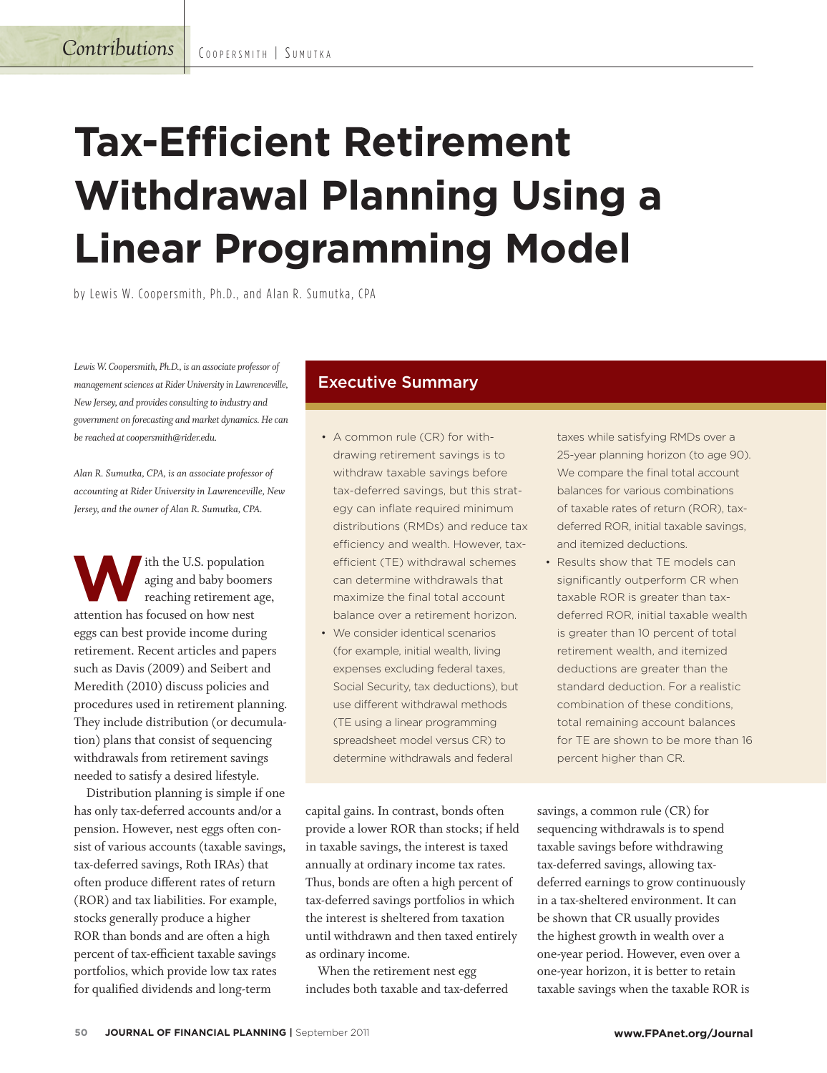# **Tax-Efficient Retirement Withdrawal Planning Using a Linear Programming Model**

by Lewis W. Coopersmith, Ph.D., and Alan R. Sumutka, CPA

Lewis W. Coopersmith, Ph.D., is an associate professor of *management sciences at Rider University in Lawrenceville, New Jersey, and provides consulting to industry and government on forecasting and market dynamics. He can be reached at coopersmith@rider.edu.*

*Alan R. Sumutka, CPA, is an associate professor of accounting at Rider University in Lawrenceville, New Jersey, and the owner of Alan R. Sumutka, CPA.*

**W**ith the U.S. population<br>reaching retirement age<br>attention has focused on how nest aging and baby boomers reaching retirement age, attention has focused on how nest eggs can best provide income during retirement. Recent articles and papers such as Davis (2009) and Seibert and Meredith (2010) discuss policies and procedures used in retirement planning. They include distribution (or decumulation) plans that consist of sequencing withdrawals from retirement savings needed to satisfy a desired lifestyle.

Distribution planning is simple if one has only tax-deferred accounts and/or a pension. However, nest eggs often consist of various accounts (taxable savings, tax-deferred savings, Roth IRAs) that often produce different rates of return (ROR) and tax liabilities. For example, stocks generally produce a higher ROR than bonds and are often a high percent of tax-efficient taxable savings portfolios, which provide low tax rates for qualified dividends and long-term

### Executive Summary

- A common rule (CR) for withdrawing retirement savings is to withdraw taxable savings before tax-deferred savings, but this strategy can inflate required minimum distributions (RMDs) and reduce tax efficiency and wealth. However, taxefficient (TE) withdrawal schemes can determine withdrawals that maximize the final total account balance over a retirement horizon.
- We consider identical scenarios (for example, initial wealth, living expenses excluding federal taxes, Social Security, tax deductions), but use different withdrawal methods (TE using a linear programming spreadsheet model versus CR) to determine withdrawals and federal

capital gains. In contrast, bonds often provide a lower ROR than stocks; if held in taxable savings, the interest is taxed annually at ordinary income tax rates. Thus, bonds are often a high percent of tax-deferred savings portfolios in which the interest is sheltered from taxation until withdrawn and then taxed entirely as ordinary income.

When the retirement nest egg includes both taxable and tax-deferred taxes while satisfying RMDs over a 25-year planning horizon (to age 90). We compare the final total account balances for various combinations of taxable rates of return (ROR), taxdeferred ROR, initial taxable savings, and itemized deductions.

 • Results show that TE models can significantly outperform CR when taxable ROR is greater than taxdeferred ROR, initial taxable wealth is greater than 10 percent of total retirement wealth, and itemized deductions are greater than the standard deduction. For a realistic combination of these conditions, total remaining account balances for TE are shown to be more than 16 percent higher than CR.

savings, a common rule (CR) for sequencing withdrawals is to spend taxable savings before withdrawing tax-deferred savings, allowing taxdeferred earnings to grow continuously in a tax-sheltered environment. It can be shown that CR usually provides the highest growth in wealth over a one-year period. However, even over a one-year horizon, it is better to retain taxable savings when the taxable ROR is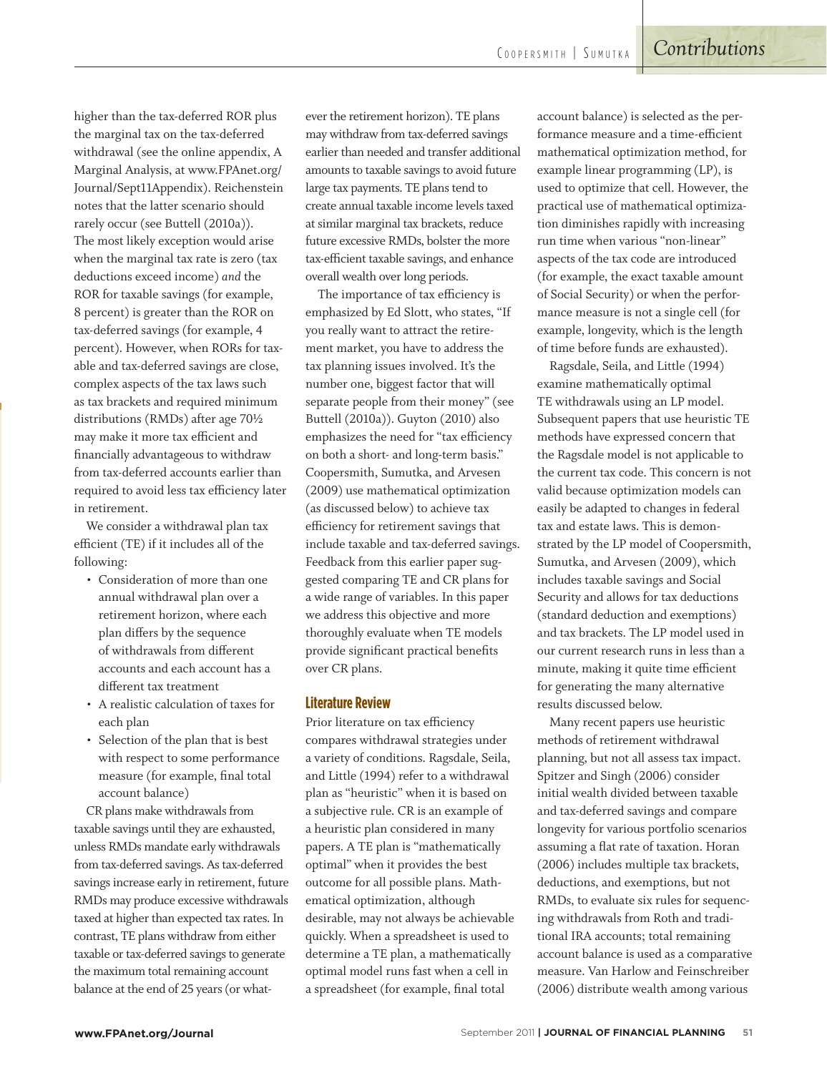higher than the tax-deferred ROR plus the marginal tax on the tax-deferred withdrawal (see the online appendix, A Marginal Analysis, at www.FPAnet.org/ Journal/Sept11Appendix). Reichenstein notes that the latter scenario should rarely occur (see Buttell (2010a)). The most likely exception would arise when the marginal tax rate is zero (tax deductions exceed income) *and* the ROR for taxable savings (for example, 8 percent) is greater than the ROR on tax-deferred savings (for example, 4 percent). However, when RORs for taxable and tax-deferred savings are close, complex aspects of the tax laws such as tax brackets and required minimum distributions (RMDs) after age 70½ may make it more tax efficient and financially advantageous to withdraw from tax-deferred accounts earlier than required to avoid less tax efficiency later in retirement.

We consider a withdrawal plan tax efficient (TE) if it includes all of the following:

- Consideration of more than one annual withdrawal plan over a retirement horizon, where each plan differs by the sequence of withdrawals from different accounts and each account has a different tax treatment
- A realistic calculation of taxes for each plan
- Selection of the plan that is best with respect to some performance measure (for example, final total account balance)

CR plans make withdrawals from taxable savings until they are exhausted, unless RMDs mandate early withdrawals from tax-deferred savings. As tax-deferred savings increase early in retirement, future RMDs may produce excessive withdrawals taxed at higher than expected tax rates. In contrast, TE plans withdraw from either taxable or tax-deferred savings to generate the maximum total remaining account balance at the end of 25 years (or whatever the retirement horizon). TE plans may withdraw from tax-deferred savings earlier than needed and transfer additional amounts to taxable savings to avoid future large tax payments. TE plans tend to create annual taxable income levels taxed at similar marginal tax brackets, reduce future excessive RMDs, bolster the more tax-efficient taxable savings, and enhance overall wealth over long periods.

The importance of tax efficiency is emphasized by Ed Slott, who states, "If you really want to attract the retirement market, you have to address the tax planning issues involved. It's the number one, biggest factor that will separate people from their money" (see Buttell (2010a)). Guyton (2010) also emphasizes the need for "tax efficiency on both a short- and long-term basis." Coopersmith, Sumutka, and Arvesen (2009) use mathematical optimization (as discussed below) to achieve tax efficiency for retirement savings that include taxable and tax-deferred savings. Feedback from this earlier paper suggested comparing TE and CR plans for a wide range of variables. In this paper we address this objective and more thoroughly evaluate when TE models provide significant practical benefits over CR plans.

#### **Literature Review**

Prior literature on tax efficiency compares withdrawal strategies under a variety of conditions. Ragsdale, Seila, and Little (1994) refer to a withdrawal plan as "heuristic" when it is based on a subjective rule. CR is an example of a heuristic plan considered in many papers. A TE plan is "mathematically optimal" when it provides the best outcome for all possible plans. Mathematical optimization, although desirable, may not always be achievable quickly. When a spreadsheet is used to determine a TE plan, a mathematically optimal model runs fast when a cell in a spreadsheet (for example, final total

account balance) is selected as the performance measure and a time-efficient mathematical optimization method, for example linear programming (LP), is used to optimize that cell. However, the practical use of mathematical optimization diminishes rapidly with increasing run time when various "non-linear" aspects of the tax code are introduced (for example, the exact taxable amount of Social Security) or when the performance measure is not a single cell (for example, longevity, which is the length of time before funds are exhausted).

Ragsdale, Seila, and Little (1994) examine mathematically optimal TE withdrawals using an LP model. Subsequent papers that use heuristic TE methods have expressed concern that the Ragsdale model is not applicable to the current tax code. This concern is not valid because optimization models can easily be adapted to changes in federal tax and estate laws. This is demonstrated by the LP model of Coopersmith, Sumutka, and Arvesen (2009), which includes taxable savings and Social Security and allows for tax deductions (standard deduction and exemptions) and tax brackets. The LP model used in our current research runs in less than a minute, making it quite time efficient for generating the many alternative results discussed below.

Many recent papers use heuristic methods of retirement withdrawal planning, but not all assess tax impact. Spitzer and Singh (2006) consider initial wealth divided between taxable and tax-deferred savings and compare longevity for various portfolio scenarios assuming a flat rate of taxation. Horan (2006) includes multiple tax brackets, deductions, and exemptions, but not RMDs, to evaluate six rules for sequencing withdrawals from Roth and traditional IRA accounts; total remaining account balance is used as a comparative measure. Van Harlow and Feinschreiber (2006) distribute wealth among various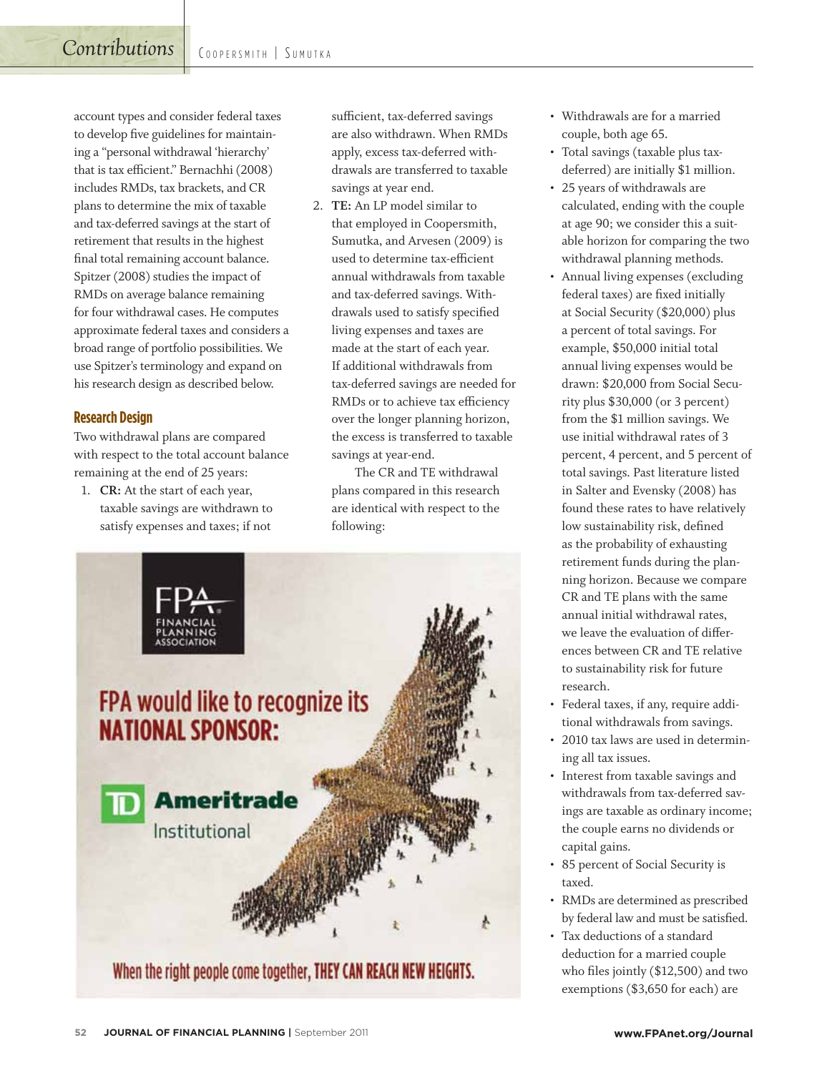account types and consider federal taxes to develop five guidelines for maintaining a "personal withdrawal 'hierarchy' that is tax efficient." Bernachhi (2008) includes RMDs, tax brackets, and CR plans to determine the mix of taxable and tax-deferred savings at the start of retirement that results in the highest final total remaining account balance. Spitzer (2008) studies the impact of RMDs on average balance remaining for four withdrawal cases. He computes approximate federal taxes and considers a broad range of portfolio possibilities. We use Spitzer's terminology and expand on his research design as described below.

#### **Research Design**

Two withdrawal plans are compared with respect to the total account balance remaining at the end of 25 years:

1. **CR:** At the start of each year, taxable savings are withdrawn to satisfy expenses and taxes; if not

sufficient, tax-deferred savings are also withdrawn. When RMDs apply, excess tax-deferred withdrawals are transferred to taxable savings at year end.

2. **TE:** An LP model similar to that employed in Coopersmith, Sumutka, and Arvesen (2009) is used to determine tax-efficient annual withdrawals from taxable and tax-deferred savings. Withdrawals used to satisfy specified living expenses and taxes are made at the start of each year. If additional withdrawals from tax-deferred savings are needed for RMDs or to achieve tax efficiency over the longer planning horizon, the excess is transferred to taxable savings at year-end.

The CR and TE withdrawal plans compared in this research are identical with respect to the following:



- Withdrawals are for a married couple, both age 65.
- Total savings (taxable plus taxdeferred) are initially \$1 million.
- 25 years of withdrawals are calculated, ending with the couple at age 90; we consider this a suitable horizon for comparing the two withdrawal planning methods.
- Annual living expenses (excluding federal taxes) are fixed initially at Social Security (\$20,000) plus a percent of total savings. For example, \$50,000 initial total annual living expenses would be drawn: \$20,000 from Social Security plus \$30,000 (or 3 percent) from the \$1 million savings. We use initial withdrawal rates of 3 percent, 4 percent, and 5 percent of total savings. Past literature listed in Salter and Evensky (2008) has found these rates to have relatively low sustainability risk, defined as the probability of exhausting retirement funds during the planning horizon. Because we compare CR and TE plans with the same annual initial withdrawal rates, we leave the evaluation of differences between CR and TE relative to sustainability risk for future research.
- Federal taxes, if any, require additional withdrawals from savings.
- 2010 tax laws are used in determining all tax issues.
- Interest from taxable savings and withdrawals from tax-deferred savings are taxable as ordinary income; the couple earns no dividends or capital gains.
- 85 percent of Social Security is taxed.
- RMDs are determined as prescribed by federal law and must be satisfied.
- Tax deductions of a standard deduction for a married couple who files jointly (\$12,500) and two exemptions (\$3,650 for each) are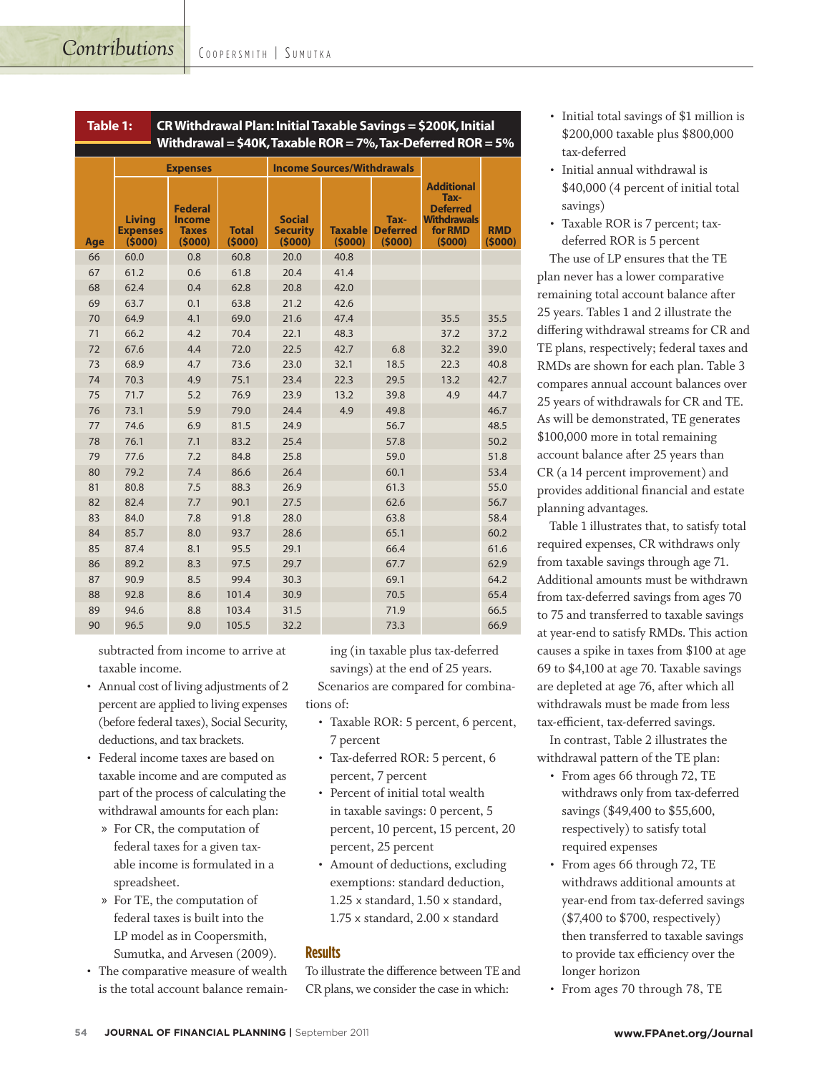| CR Withdrawal Plan: Initial Taxable Savings = \$200K, Initial<br>Table 1:<br>Withdrawal = $$40K$ , Taxable ROR = 7%, Tax-Deferred ROR = 5% |                                            |                                                           |                        |                                            |                          |                                   |                                                                                         |                      |  |
|--------------------------------------------------------------------------------------------------------------------------------------------|--------------------------------------------|-----------------------------------------------------------|------------------------|--------------------------------------------|--------------------------|-----------------------------------|-----------------------------------------------------------------------------------------|----------------------|--|
|                                                                                                                                            | <b>Expenses</b>                            |                                                           |                        | <b>Income Sources/Withdrawals</b>          |                          |                                   |                                                                                         |                      |  |
| Age                                                                                                                                        | <b>Living</b><br><b>Expenses</b><br>(5000) | <b>Federal</b><br><b>Income</b><br><b>Taxes</b><br>(5000) | <b>Total</b><br>(5000) | <b>Social</b><br><b>Security</b><br>(5000) | <b>Taxable</b><br>(5000) | Tax-<br><b>Deferred</b><br>(5000) | <b>Additional</b><br>Tax-<br><b>Deferred</b><br><b>Withdrawals</b><br>for RMD<br>(5000) | <b>RMD</b><br>(5000) |  |
| 66                                                                                                                                         | 60.0                                       | 0.8                                                       | 60.8                   | 20.0                                       | 40.8                     |                                   |                                                                                         |                      |  |
| 67                                                                                                                                         | 61.2                                       | 0.6                                                       | 61.8                   | 20.4                                       | 41.4                     |                                   |                                                                                         |                      |  |
| 68                                                                                                                                         | 62.4                                       | 0.4                                                       | 62.8                   | 20.8                                       | 42.0                     |                                   |                                                                                         |                      |  |
| 69                                                                                                                                         | 63.7                                       | 0.1                                                       | 63.8                   | 21.2                                       | 42.6                     |                                   |                                                                                         |                      |  |
| 70                                                                                                                                         | 64.9                                       | 4.1                                                       | 69.0                   | 21.6                                       | 47.4                     |                                   | 35.5                                                                                    | 35.5                 |  |
| 71                                                                                                                                         | 66.2                                       | 4.2                                                       | 70.4                   | 22.1                                       | 48.3                     |                                   | 37.2                                                                                    | 37.2                 |  |
| 72                                                                                                                                         | 67.6                                       | 4.4                                                       | 72.0                   | 22.5                                       | 42.7                     | 6.8                               | 32.2                                                                                    | 39.0                 |  |
| 73                                                                                                                                         | 68.9                                       | 4.7                                                       | 73.6                   | 23.0                                       | 32.1                     | 18.5                              | 22.3                                                                                    | 40.8                 |  |
| 74                                                                                                                                         | 70.3                                       | 4.9                                                       | 75.1                   | 23.4                                       | 22.3                     | 29.5                              | 13.2                                                                                    | 42.7                 |  |
| 75                                                                                                                                         | 71.7                                       | 5.2                                                       | 76.9                   | 23.9                                       | 13.2                     | 39.8                              | 4.9                                                                                     | 44.7                 |  |
| 76                                                                                                                                         | 73.1                                       | 5.9                                                       | 79.0                   | 24.4                                       | 4.9                      | 49.8                              |                                                                                         | 46.7                 |  |
| 77                                                                                                                                         | 74.6                                       | 6.9                                                       | 81.5                   | 24.9                                       |                          | 56.7                              |                                                                                         | 48.5                 |  |
| 78                                                                                                                                         | 76.1                                       | 7.1                                                       | 83.2                   | 25.4                                       |                          | 57.8                              |                                                                                         | 50.2                 |  |
| 79                                                                                                                                         | 77.6                                       | 7.2                                                       | 84.8                   | 25.8                                       |                          | 59.0                              |                                                                                         | 51.8                 |  |
| 80                                                                                                                                         | 79.2                                       | 7.4                                                       | 86.6                   | 26.4                                       |                          | 60.1                              |                                                                                         | 53.4                 |  |
| 81                                                                                                                                         | 80.8                                       | 7.5                                                       | 88.3                   | 26.9                                       |                          | 61.3                              |                                                                                         | 55.0                 |  |
| 82                                                                                                                                         | 82.4                                       | 7.7                                                       | 90.1                   | 27.5                                       |                          | 62.6                              |                                                                                         | 56.7                 |  |
| 83                                                                                                                                         | 84.0                                       | 7.8                                                       | 91.8                   | 28.0                                       |                          | 63.8                              |                                                                                         | 58.4                 |  |
| 84                                                                                                                                         | 85.7                                       | 8.0                                                       | 93.7                   | 28.6                                       |                          | 65.1                              |                                                                                         | 60.2                 |  |
| 85                                                                                                                                         | 87.4                                       | 8.1                                                       | 95.5                   | 29.1                                       |                          | 66.4                              |                                                                                         | 61.6                 |  |
| 86                                                                                                                                         | 89.2                                       | 8.3                                                       | 97.5                   | 29.7                                       |                          | 67.7                              |                                                                                         | 62.9                 |  |
| 87                                                                                                                                         | 90.9                                       | 8.5                                                       | 99.4                   | 30.3                                       |                          | 69.1                              |                                                                                         | 64.2                 |  |
| 88                                                                                                                                         | 92.8                                       | 8.6                                                       | 101.4                  | 30.9                                       |                          | 70.5                              |                                                                                         | 65.4                 |  |
| 89                                                                                                                                         | 94.6                                       | 8.8                                                       | 103.4                  | 31.5                                       |                          | 71.9                              |                                                                                         | 66.5                 |  |
| 90                                                                                                                                         | 96.5                                       | 9.0                                                       | 105.5                  | 32.2                                       |                          | 73.3                              |                                                                                         | 66.9                 |  |

subtracted from income to arrive at taxable income.

- Annual cost of living adjustments of 2 percent are applied to living expenses (before federal taxes), Social Security, deductions, and tax brackets.
- Federal income taxes are based on taxable income and are computed as part of the process of calculating the withdrawal amounts for each plan:
	- » For CR, the computation of federal taxes for a given taxable income is formulated in a spreadsheet.
	- » For TE, the computation of federal taxes is built into the LP model as in Coopersmith, Sumutka, and Arvesen (2009).
- The comparative measure of wealth is the total account balance remain-

ing (in taxable plus tax-deferred savings) at the end of 25 years.

Scenarios are compared for combinations of:

- Taxable ROR: 5 percent, 6 percent, 7 percent
- Tax-deferred ROR: 5 percent, 6 percent, 7 percent
- Percent of initial total wealth in taxable savings: 0 percent, 5 percent, 10 percent, 15 percent, 20 percent, 25 percent
- Amount of deductions, excluding exemptions: standard deduction, 1.25 x standard, 1.50 x standard, 1.75 x standard, 2.00 x standard

#### **Results**

To illustrate the difference between TE and CR plans, we consider the case in which:

- Initial total savings of \$1 million is \$200,000 taxable plus \$800,000 tax-deferred
- Initial annual withdrawal is \$40,000 (4 percent of initial total savings)
- Taxable ROR is 7 percent; taxdeferred ROR is 5 percent

The use of LP ensures that the TE plan never has a lower comparative remaining total account balance after 25 years. Tables 1 and 2 illustrate the differing withdrawal streams for CR and TE plans, respectively; federal taxes and RMDs are shown for each plan. Table 3 compares annual account balances over 25 years of withdrawals for CR and TE. As will be demonstrated, TE generates \$100,000 more in total remaining account balance after 25 years than CR (a 14 percent improvement) and provides additional financial and estate planning advantages.

Table 1 illustrates that, to satisfy total required expenses, CR withdraws only from taxable savings through age 71. Additional amounts must be withdrawn from tax-deferred savings from ages 70 to 75 and transferred to taxable savings at year-end to satisfy RMDs. This action causes a spike in taxes from \$100 at age 69 to \$4,100 at age 70. Taxable savings are depleted at age 76, after which all withdrawals must be made from less tax-efficient, tax-deferred savings.

In contrast, Table 2 illustrates the withdrawal pattern of the TE plan:

- From ages 66 through 72, TE withdraws only from tax-deferred savings (\$49,400 to \$55,600, respectively) to satisfy total required expenses
- From ages 66 through 72, TE withdraws additional amounts at year-end from tax-deferred savings (\$7,400 to \$700, respectively) then transferred to taxable savings to provide tax efficiency over the longer horizon
- From ages 70 through 78, TE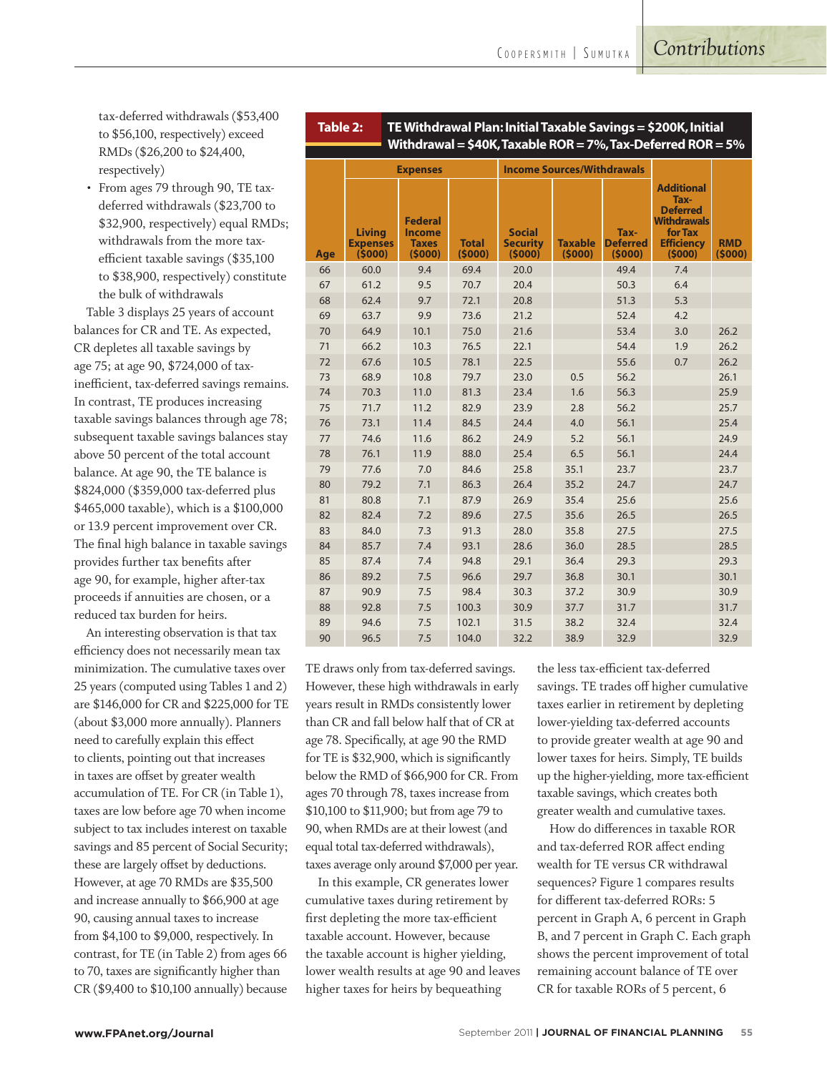**Table 2: TE Withdrawal Plan: Initial Taxable Savings = \$200K, Initial** 

tax-deferred withdrawals (\$53,400 to \$56,100, respectively) exceed RMDs (\$26,200 to \$24,400, respectively)

• From ages 79 through 90, TE taxdeferred withdrawals (\$23,700 to \$32,900, respectively) equal RMDs; withdrawals from the more taxefficient taxable savings (\$35,100 to \$38,900, respectively) constitute the bulk of withdrawals

Table 3 displays 25 years of account balances for CR and TE. As expected, CR depletes all taxable savings by age 75; at age 90, \$724,000 of taxinefficient, tax-deferred savings remains. In contrast, TE produces increasing taxable savings balances through age 78; subsequent taxable savings balances stay above 50 percent of the total account balance. At age 90, the TE balance is \$824,000 (\$359,000 tax-deferred plus \$465,000 taxable), which is a \$100,000 or 13.9 percent improvement over CR. The final high balance in taxable savings provides further tax benefits after age 90, for example, higher after-tax proceeds if annuities are chosen, or a reduced tax burden for heirs.

An interesting observation is that tax efficiency does not necessarily mean tax minimization. The cumulative taxes over 25 years (computed using Tables 1 and 2) are \$146,000 for CR and \$225,000 for TE (about \$3,000 more annually). Planners need to carefully explain this effect to clients, pointing out that increases in taxes are offset by greater wealth accumulation of TE. For CR (in Table 1), taxes are low before age 70 when income subject to tax includes interest on taxable savings and 85 percent of Social Security; these are largely offset by deductions. However, at age 70 RMDs are \$35,500 and increase annually to \$66,900 at age 90, causing annual taxes to increase from \$4,100 to \$9,000, respectively. In contrast, for TE (in Table 2) from ages 66 to 70, taxes are significantly higher than CR (\$9,400 to \$10,100 annually) because

| Withdrawal = $$40K$ , Taxable ROR = 7%, Tax-Deferred ROR = 5% |                                            |                                                           |                        |                                            |                          |                                   |                                                                                                              |                      |
|---------------------------------------------------------------|--------------------------------------------|-----------------------------------------------------------|------------------------|--------------------------------------------|--------------------------|-----------------------------------|--------------------------------------------------------------------------------------------------------------|----------------------|
|                                                               | <b>Expenses</b>                            |                                                           |                        | <b>Income Sources/Withdrawals</b>          |                          |                                   |                                                                                                              |                      |
| Age                                                           | <b>Living</b><br><b>Expenses</b><br>(5000) | <b>Federal</b><br><b>Income</b><br><b>Taxes</b><br>(5000) | <b>Total</b><br>(5000) | <b>Social</b><br><b>Security</b><br>(5000) | <b>Taxable</b><br>(5000) | Tax-<br><b>Deferred</b><br>(5000) | <b>Additional</b><br>Tax-<br><b>Deferred</b><br><b>Withdrawals</b><br>for Tax<br><b>Efficiency</b><br>(5000) | <b>RMD</b><br>(5000) |
| 66                                                            | 60.0                                       | 9.4                                                       | 69.4                   | 20.0                                       |                          | 49.4                              | 7.4                                                                                                          |                      |
| 67                                                            | 61.2                                       | 9.5                                                       | 70.7                   | 20.4                                       |                          | 50.3                              | 6.4                                                                                                          |                      |
| 68                                                            | 62.4                                       | 9.7                                                       | 72.1                   | 20.8                                       |                          | 51.3                              | 5.3                                                                                                          |                      |
| 69                                                            | 63.7                                       | 9.9                                                       | 73.6                   | 21.2                                       |                          | 52.4                              | 4.2                                                                                                          |                      |
| 70                                                            | 64.9                                       | 10.1                                                      | 75.0                   | 21.6                                       |                          | 53.4                              | 3.0                                                                                                          | 26.2                 |
| 71                                                            | 66.2                                       | 10.3                                                      | 76.5                   | 22.1                                       |                          | 54.4                              | 1.9                                                                                                          | 26.2                 |
| 72                                                            | 67.6                                       | 10.5                                                      | 78.1                   | 22.5                                       |                          | 55.6                              | 0.7                                                                                                          | 26.2                 |
| 73                                                            | 68.9                                       | 10.8                                                      | 79.7                   | 23.0                                       | 0.5                      | 56.2                              |                                                                                                              | 26.1                 |
| 74                                                            | 70.3                                       | 11.0                                                      | 81.3                   | 23.4                                       | 1.6                      | 56.3                              |                                                                                                              | 25.9                 |
| 75                                                            | 71.7                                       | 11.2                                                      | 82.9                   | 23.9                                       | 2.8                      | 56.2                              |                                                                                                              | 25.7                 |
| 76                                                            | 73.1                                       | 11.4                                                      | 84.5                   | 24.4                                       | 4.0                      | 56.1                              |                                                                                                              | 25.4                 |
| 77                                                            | 74.6                                       | 11.6                                                      | 86.2                   | 24.9                                       | 5.2                      | 56.1                              |                                                                                                              | 24.9                 |
| 78                                                            | 76.1                                       | 11.9                                                      | 88.0                   | 25.4                                       | 6.5                      | 56.1                              |                                                                                                              | 24.4                 |
| 79                                                            | 77.6                                       | 7.0                                                       | 84.6                   | 25.8                                       | 35.1                     | 23.7                              |                                                                                                              | 23.7                 |
| 80                                                            | 79.2                                       | 7.1                                                       | 86.3                   | 26.4                                       | 35.2                     | 24.7                              |                                                                                                              | 24.7                 |
| 81                                                            | 80.8                                       | 7.1                                                       | 87.9                   | 26.9                                       | 35.4                     | 25.6                              |                                                                                                              | 25.6                 |
| 82                                                            | 82.4                                       | 7.2                                                       | 89.6                   | 27.5                                       | 35.6                     | 26.5                              |                                                                                                              | 26.5                 |
| 83                                                            | 84.0                                       | 7.3                                                       | 91.3                   | 28.0                                       | 35.8                     | 27.5                              |                                                                                                              | 27.5                 |
| 84                                                            | 85.7                                       | 7.4                                                       | 93.1                   | 28.6                                       | 36.0                     | 28.5                              |                                                                                                              | 28.5                 |
| 85                                                            | 87.4                                       | 7.4                                                       | 94.8                   | 29.1                                       | 36.4                     | 29.3                              |                                                                                                              | 29.3                 |
| 86                                                            | 89.2                                       | 7.5                                                       | 96.6                   | 29.7                                       | 36.8                     | 30.1                              |                                                                                                              | 30.1                 |
| 87                                                            | 90.9                                       | 7.5                                                       | 98.4                   | 30.3                                       | 37.2                     | 30.9                              |                                                                                                              | 30.9                 |
| 88                                                            | 92.8                                       | 7.5                                                       | 100.3                  | 30.9                                       | 37.7                     | 31.7                              |                                                                                                              | 31.7                 |
| 89                                                            | 94.6                                       | 7.5                                                       | 102.1                  | 31.5                                       | 38.2                     | 32.4                              |                                                                                                              | 32.4                 |
| 90                                                            | 96.5                                       | 7.5                                                       | 104.0                  | 32.2                                       | 38.9                     | 32.9                              |                                                                                                              | 32.9                 |

TE draws only from tax-deferred savings. However, these high withdrawals in early years result in RMDs consistently lower than CR and fall below half that of CR at age 78. Specifically, at age 90 the RMD for TE is \$32,900, which is significantly below the RMD of \$66,900 for CR. From ages 70 through 78, taxes increase from \$10,100 to \$11,900; but from age 79 to 90, when RMDs are at their lowest (and equal total tax-deferred withdrawals), taxes average only around \$7,000 per year.

In this example, CR generates lower cumulative taxes during retirement by first depleting the more tax-efficient taxable account. However, because the taxable account is higher yielding, lower wealth results at age 90 and leaves higher taxes for heirs by bequeathing

the less tax-efficient tax-deferred savings. TE trades off higher cumulative taxes earlier in retirement by depleting lower-yielding tax-deferred accounts to provide greater wealth at age 90 and lower taxes for heirs. Simply, TE builds up the higher-yielding, more tax-efficient taxable savings, which creates both greater wealth and cumulative taxes.

How do differences in taxable ROR and tax-deferred ROR affect ending wealth for TE versus CR withdrawal sequences? Figure 1 compares results for different tax-deferred RORs: 5 percent in Graph A, 6 percent in Graph B, and 7 percent in Graph C. Each graph shows the percent improvement of total remaining account balance of TE over CR for taxable RORs of 5 percent, 6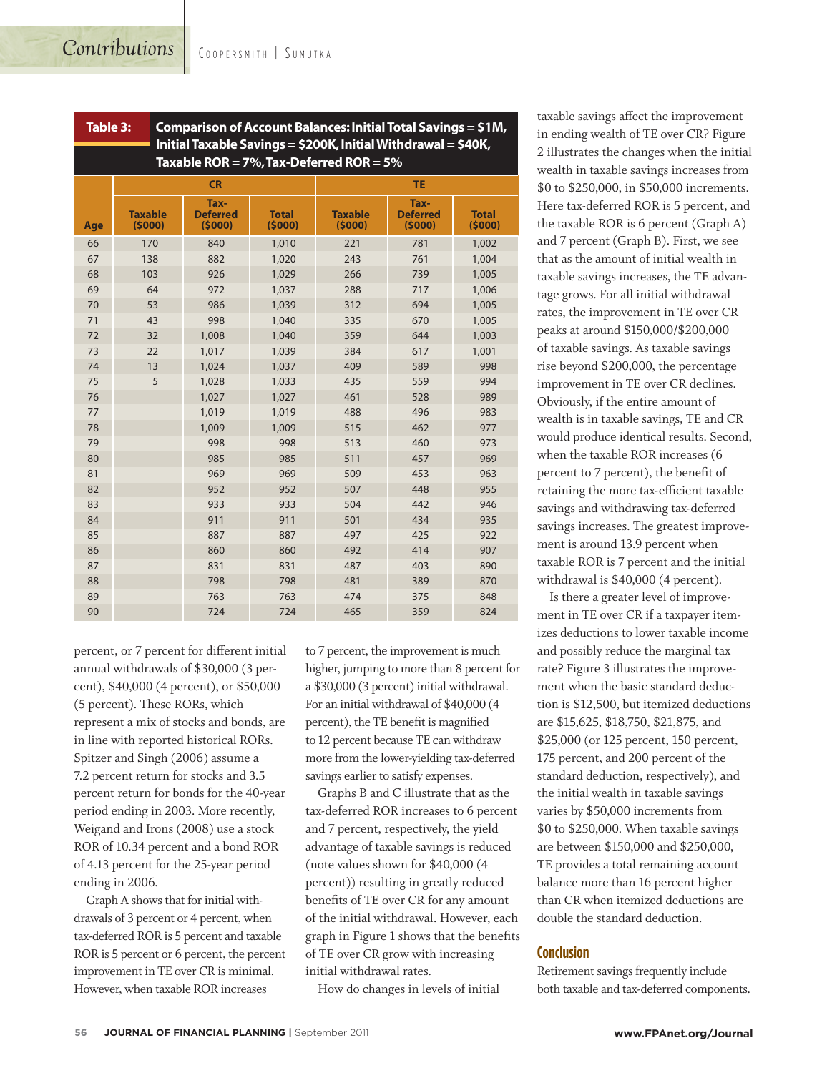| Comparison of Account Balances: Initial Total Savings = \$1M,<br>Table 3:                                       |                          |                                   |                        |                          |                                   |                        |  |  |
|-----------------------------------------------------------------------------------------------------------------|--------------------------|-----------------------------------|------------------------|--------------------------|-----------------------------------|------------------------|--|--|
| Initial Taxable Savings = \$200K, Initial Withdrawal = \$40K,<br>Taxable ROR = $7\%$ , Tax-Deferred ROR = $5\%$ |                          |                                   |                        |                          |                                   |                        |  |  |
|                                                                                                                 |                          | <b>CR</b>                         |                        | <b>TE</b>                |                                   |                        |  |  |
| Age                                                                                                             | <b>Taxable</b><br>(5000) | Tax-<br><b>Deferred</b><br>(5000) | <b>Total</b><br>(5000) | <b>Taxable</b><br>(5000) | Tax-<br><b>Deferred</b><br>(5000) | <b>Total</b><br>(5000) |  |  |
| 66                                                                                                              | 170                      | 840                               | 1,010                  | 221                      | 781                               | 1,002                  |  |  |
| 67                                                                                                              | 138                      | 882                               | 1,020                  | 243                      | 761                               | 1,004                  |  |  |
| 68                                                                                                              | 103                      | 926                               | 1,029                  | 266                      | 739                               | 1,005                  |  |  |
| 69                                                                                                              | 64                       | 972                               | 1,037                  | 288                      | 717                               | 1,006                  |  |  |
| 70                                                                                                              | 53                       | 986                               | 1,039                  | 312                      | 694                               | 1,005                  |  |  |
| 71                                                                                                              | 43                       | 998                               | 1,040                  | 335                      | 670                               | 1,005                  |  |  |
| 72                                                                                                              | 32                       | 1,008                             | 1,040                  | 359                      | 644                               | 1,003                  |  |  |
| 73                                                                                                              | 22                       | 1,017                             | 1,039                  | 384                      | 617                               | 1,001                  |  |  |
| 74                                                                                                              | 13                       | 1,024                             | 1,037                  | 409                      | 589                               | 998                    |  |  |
| 75                                                                                                              | 5                        | 1,028                             | 1,033                  | 435                      | 559                               | 994                    |  |  |
| 76                                                                                                              |                          | 1,027                             | 1,027                  | 461                      | 528                               | 989                    |  |  |
| 77                                                                                                              |                          | 1,019                             | 1,019                  | 488                      | 496                               | 983                    |  |  |
| 78                                                                                                              |                          | 1,009                             | 1,009                  | 515                      | 462                               | 977                    |  |  |
| 79                                                                                                              |                          | 998                               | 998                    | 513                      | 460                               | 973                    |  |  |
| 80                                                                                                              |                          | 985                               | 985                    | 511                      | 457                               | 969                    |  |  |
| 81                                                                                                              |                          | 969                               | 969                    | 509                      | 453                               | 963                    |  |  |
| 82                                                                                                              |                          | 952                               | 952                    | 507                      | 448                               | 955                    |  |  |
| 83                                                                                                              |                          | 933                               | 933                    | 504                      | 442                               | 946                    |  |  |
| 84                                                                                                              |                          | 911                               | 911                    | 501                      | 434                               | 935                    |  |  |
| 85                                                                                                              |                          | 887                               | 887                    | 497                      | 425                               | 922                    |  |  |
| 86                                                                                                              |                          | 860                               | 860                    | 492                      | 414                               | 907                    |  |  |
| 87                                                                                                              |                          | 831                               | 831                    | 487                      | 403                               | 890                    |  |  |
| 88                                                                                                              |                          | 798                               | 798                    | 481                      | 389                               | 870                    |  |  |
| 89                                                                                                              |                          | 763                               | 763                    | 474                      | 375                               | 848                    |  |  |
| 90                                                                                                              |                          | 724                               | 724                    | 465                      | 359                               | 824                    |  |  |

percent, or 7 percent for different initial annual withdrawals of \$30,000 (3 percent), \$40,000 (4 percent), or \$50,000 (5 percent). These RORs, which represent a mix of stocks and bonds, are in line with reported historical RORs. Spitzer and Singh (2006) assume a 7.2 percent return for stocks and 3.5 percent return for bonds for the 40-year period ending in 2003. More recently, Weigand and Irons (2008) use a stock ROR of 10.34 percent and a bond ROR of 4.13 percent for the 25-year period ending in 2006.

Graph A shows that for initial withdrawals of 3 percent or 4 percent, when tax-deferred ROR is 5 percent and taxable ROR is 5 percent or 6 percent, the percent improvement in TE over CR is minimal. However, when taxable ROR increases

to 7 percent, the improvement is much higher, jumping to more than 8 percent for a \$30,000 (3 percent) initial withdrawal. For an initial withdrawal of \$40,000 (4 percent), the TE benefit is magnified to 12 percent because TE can withdraw more from the lower-yielding tax-deferred savings earlier to satisfy expenses.

Graphs B and C illustrate that as the tax-deferred ROR increases to 6 percent and 7 percent, respectively, the yield advantage of taxable savings is reduced (note values shown for \$40,000 (4 percent)) resulting in greatly reduced benefits of TE over CR for any amount of the initial withdrawal. However, each graph in Figure 1 shows that the benefits of TE over CR grow with increasing initial withdrawal rates.

How do changes in levels of initial

taxable savings affect the improvement in ending wealth of TE over CR? Figure 2 illustrates the changes when the initial wealth in taxable savings increases from \$0 to \$250,000, in \$50,000 increments. Here tax-deferred ROR is 5 percent, and the taxable ROR is 6 percent (Graph A) and 7 percent (Graph B). First, we see that as the amount of initial wealth in taxable savings increases, the TE advantage grows. For all initial withdrawal rates, the improvement in TE over CR peaks at around \$150,000/\$200,000 of taxable savings. As taxable savings rise beyond \$200,000, the percentage improvement in TE over CR declines. Obviously, if the entire amount of wealth is in taxable savings, TE and CR would produce identical results. Second, when the taxable ROR increases (6 percent to 7 percent), the benefit of retaining the more tax-efficient taxable savings and withdrawing tax-deferred savings increases. The greatest improvement is around 13.9 percent when taxable ROR is 7 percent and the initial withdrawal is \$40,000 (4 percent).

Is there a greater level of improvement in TE over CR if a taxpayer itemizes deductions to lower taxable income and possibly reduce the marginal tax rate? Figure 3 illustrates the improvement when the basic standard deduction is \$12,500, but itemized deductions are \$15,625, \$18,750, \$21,875, and \$25,000 (or 125 percent, 150 percent, 175 percent, and 200 percent of the standard deduction, respectively), and the initial wealth in taxable savings varies by \$50,000 increments from \$0 to \$250,000. When taxable savings are between \$150,000 and \$250,000, TE provides a total remaining account balance more than 16 percent higher than CR when itemized deductions are double the standard deduction.

#### **Conclusion**

Retirement savings frequently include both taxable and tax-deferred components.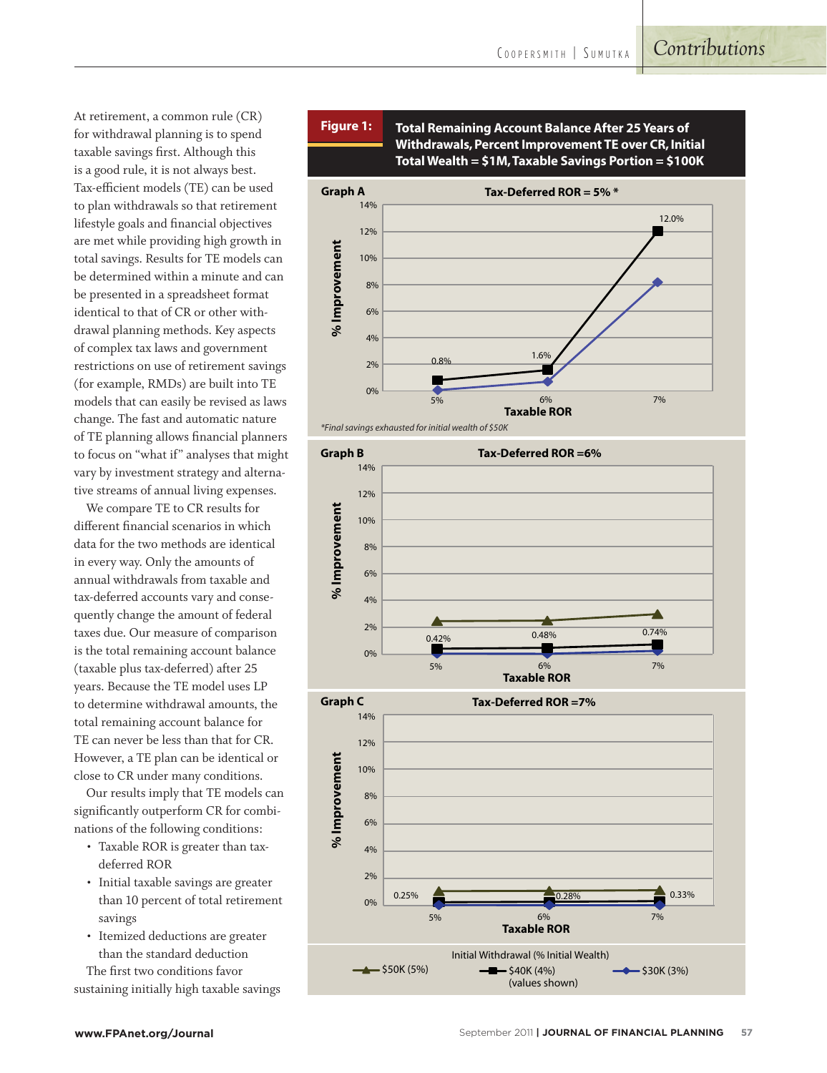At retirement, a common rule (CR) for withdrawal planning is to spend taxable savings first. Although this is a good rule, it is not always best. Tax-efficient models (TE) can be used to plan withdrawals so that retirement lifestyle goals and financial objectives are met while providing high growth in total savings. Results for TE models can be determined within a minute and can be presented in a spreadsheet format identical to that of CR or other withdrawal planning methods. Key aspects of complex tax laws and government restrictions on use of retirement savings (for example, RMDs) are built into TE models that can easily be revised as laws change. The fast and automatic nature of TE planning allows financial planners to focus on "what if" analyses that might vary by investment strategy and alternative streams of annual living expenses.

We compare TE to CR results for different financial scenarios in which data for the two methods are identical in every way. Only the amounts of annual withdrawals from taxable and tax-deferred accounts vary and consequently change the amount of federal taxes due. Our measure of comparison is the total remaining account balance (taxable plus tax-deferred) after 25 years. Because the TE model uses LP to determine withdrawal amounts, the total remaining account balance for TE can never be less than that for CR. However, a TE plan can be identical or close to CR under many conditions.

Our results imply that TE models can significantly outperform CR for combinations of the following conditions:

- Taxable ROR is greater than taxdeferred ROR
- Initial taxable savings are greater than 10 percent of total retirement savings
- Itemized deductions are greater than the standard deduction The first two conditions favor

sustaining initially high taxable savings





*<sup>\*</sup>Final savings exhausted for initial wealth of \$50K* 



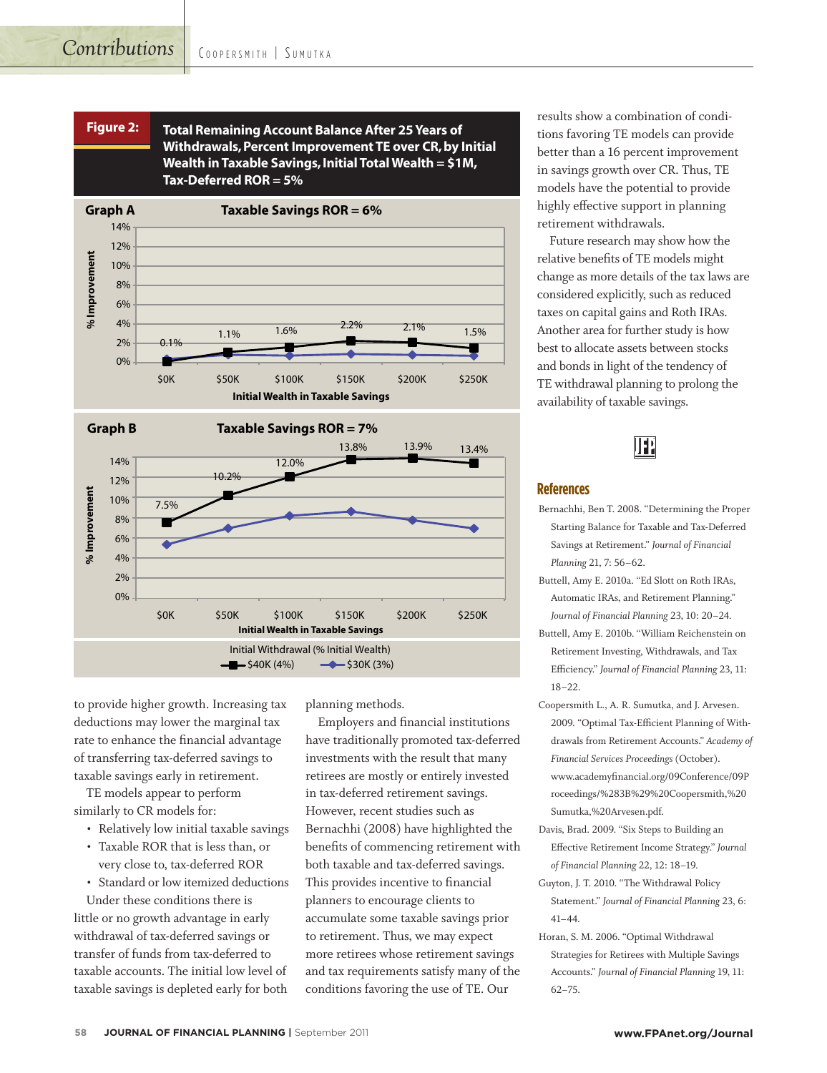





to provide higher growth. Increasing tax deductions may lower the marginal tax rate to enhance the financial advantage of transferring tax-deferred savings to taxable savings early in retirement.

TE models appear to perform similarly to CR models for:

- Relatively low initial taxable savings
- Taxable ROR that is less than, or very close to, tax-deferred ROR
- Standard or low itemized deductions

Under these conditions there is little or no growth advantage in early withdrawal of tax-deferred savings or transfer of funds from tax-deferred to taxable accounts. The initial low level of taxable savings is depleted early for both planning methods.

Employers and financial institutions have traditionally promoted tax-deferred investments with the result that many retirees are mostly or entirely invested in tax-deferred retirement savings. However, recent studies such as Bernachhi (2008) have highlighted the benefits of commencing retirement with both taxable and tax-deferred savings. This provides incentive to financial planners to encourage clients to accumulate some taxable savings prior to retirement. Thus, we may expect more retirees whose retirement savings and tax requirements satisfy many of the conditions favoring the use of TE. Our

results show a combination of conditions favoring TE models can provide better than a 16 percent improvement in savings growth over CR. Thus, TE models have the potential to provide highly effective support in planning retirement withdrawals.

Future research may show how the relative benefits of TE models might change as more details of the tax laws are considered explicitly, such as reduced taxes on capital gains and Roth IRAs. Another area for further study is how best to allocate assets between stocks and bonds in light of the tendency of TE withdrawal planning to prolong the availability of taxable savings.



#### **References**

- Bernachhi, Ben T. 2008. "Determining the Proper Starting Balance for Taxable and Tax-Deferred Savings at Retirement." *Journal of Financial Planning* 21, 7: 56–62.
- Buttell, Amy E. 2010a. "Ed Slott on Roth IRAs, Automatic IRAs, and Retirement Planning." *Journal of Financial Planning* 23, 10: 20–24.
- Buttell, Amy E. 2010b. "William Reichenstein on Retirement Investing, Withdrawals, and Tax Efficiency." *Journal of Financial Planning* 23, 11: 18–22.
- Coopersmith L., A. R. Sumutka, and J. Arvesen. 2009. "Optimal Tax-Efficient Planning of Withdrawals from Retirement Accounts." *Academy of Financial Services Proceedings* (October). www.academyfinancial.org/09Conference/09P roceedings/%283B%29%20Coopersmith,%20 Sumutka,%20Arvesen.pdf.
- Davis, Brad. 2009. "Six Steps to Building an Effective Retirement Income Strategy." *Journal of Financial Planning* 22, 12: 18–19.
- Guyton, J. T. 2010. "The Withdrawal Policy Statement." *Journal of Financial Planning* 23, 6: 41–44.
- Horan, S. M. 2006. "Optimal Withdrawal Strategies for Retirees with Multiple Savings Accounts." *Journal of Financial Planning* 19, 11: 62–75.